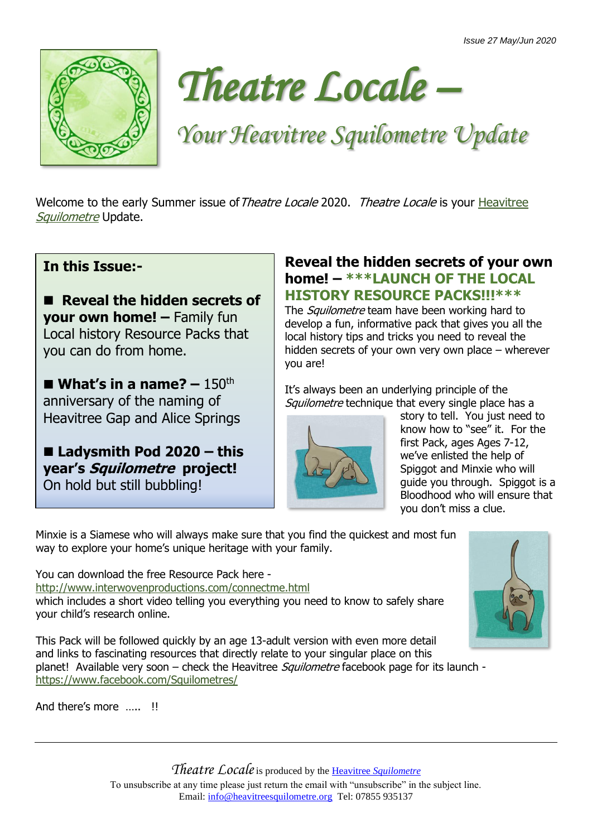



## *Your Heavitree Squilometre Update*

Welcome to the early Summer issue of Theatre Locale 2020. Theatre Locale is your [Heavitree](http://www.heavitreesquilometre.org/) [Squilometre](http://www.heavitreesquilometre.org/) Update.

## **In this Issue:-**

■ Reveal the hidden secrets of **your own home! –** Family fun Local history Resource Packs that you can do from home.

 $\blacksquare$  **What's in a name?** – 150<sup>th</sup> anniversary of the naming of Heavitree Gap and Alice Springs

■ Ladysmith Pod 2020 – this **year's Squilometre project!** On hold but still bubbling!

## **Reveal the hidden secrets of your own home! – \*\*\*LAUNCH OF THE LOCAL HISTORY RESOURCE PACKS!!!\*\*\***

The *Squilometre* team have been working hard to develop a fun, informative pack that gives you all the local history tips and tricks you need to reveal the hidden secrets of your own very own place – wherever you are!

It's always been an underlying principle of the Squilometre technique that every single place has a



story to tell. You just need to know how to "see" it. For the first Pack, ages Ages 7-12, we've enlisted the help of Spiggot and Minxie who will guide you through. Spiggot is a Bloodhood who will ensure that you don't miss a clue.

Minxie is a Siamese who will always make sure that you find the quickest and most fun way to explore your home's unique heritage with your family.

You can download the free Resource Pack here -

<http://www.interwovenproductions.com/connectme.html> which includes a short video telling you everything you need to know to safely share your child's research online.

This Pack will be followed quickly by an age 13-adult version with even more detail and links to fascinating resources that directly relate to your singular place on this planet! Available very soon – check the Heavitree *Squilometre* facebook page for its launch <https://www.facebook.com/Squilometres/>

And there's more **II** 



*Theatre Locale*is produced by the Heavitree *[Squilometre](http://www.heavitreesquilometre.org/)* To unsubscribe at any time please just return the email with "unsubscribe" in the subject line. Email: [info@heavitreesquilometre.org](mailto:info@heavitreesquilometre.org) Tel: 07855 935137